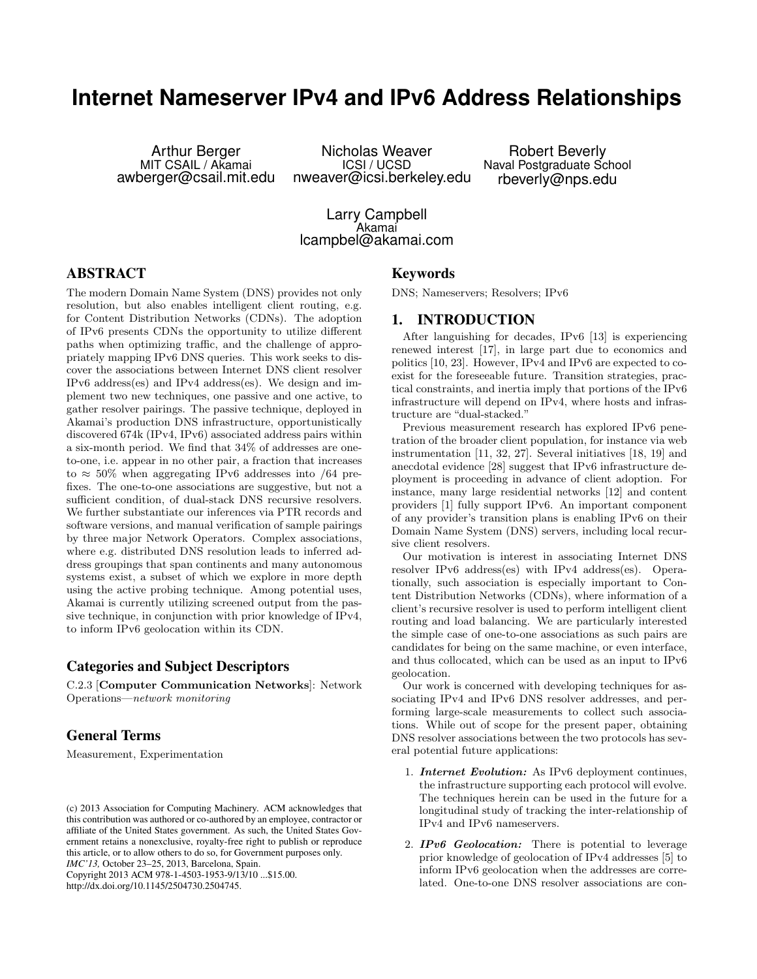# **Internet Nameserver IPv4 and IPv6 Address Relationships**

Arthur Berger MIT CSAIL / Akamai awberger@csail.mit.edu

Nicholas Weaver ICSI / UCSD nweaver@icsi.berkeley.edu

Robert Beverly Naval Postgraduate School rbeverly@nps.edu

Larry Campbell Akamai lcampbel@akamai.com

# ABSTRACT

The modern Domain Name System (DNS) provides not only resolution, but also enables intelligent client routing, e.g. for Content Distribution Networks (CDNs). The adoption of IPv6 presents CDNs the opportunity to utilize different paths when optimizing traffic, and the challenge of appropriately mapping IPv6 DNS queries. This work seeks to discover the associations between Internet DNS client resolver IPv6 address(es) and IPv4 address(es). We design and implement two new techniques, one passive and one active, to gather resolver pairings. The passive technique, deployed in Akamai's production DNS infrastructure, opportunistically discovered 674k (IPv4, IPv6) associated address pairs within a six-month period. We find that 34% of addresses are oneto-one, i.e. appear in no other pair, a fraction that increases to  $\approx 50\%$  when aggregating IPv6 addresses into /64 prefixes. The one-to-one associations are suggestive, but not a sufficient condition, of dual-stack DNS recursive resolvers. We further substantiate our inferences via PTR records and software versions, and manual verification of sample pairings by three major Network Operators. Complex associations, where e.g. distributed DNS resolution leads to inferred address groupings that span continents and many autonomous systems exist, a subset of which we explore in more depth using the active probing technique. Among potential uses, Akamai is currently utilizing screened output from the passive technique, in conjunction with prior knowledge of IPv4, to inform IPv6 geolocation within its CDN.

## Categories and Subject Descriptors

C.2.3 [Computer Communication Networks]: Network Operations—network monitoring

# General Terms

Measurement, Experimentation

*IMC'13,* October 23–25, 2013, Barcelona, Spain.

Copyright 2013 ACM 978-1-4503-1953-9/13/10 ...\$15.00. http://dx.doi.org/10.1145/2504730.2504745.

### Keywords

DNS; Nameservers; Resolvers; IPv6

### 1. INTRODUCTION

After languishing for decades, IPv6 [13] is experiencing renewed interest [17], in large part due to economics and politics [10, 23]. However, IPv4 and IPv6 are expected to coexist for the foreseeable future. Transition strategies, practical constraints, and inertia imply that portions of the IPv6 infrastructure will depend on IPv4, where hosts and infrastructure are "dual-stacked."

Previous measurement research has explored IPv6 penetration of the broader client population, for instance via web instrumentation [11, 32, 27]. Several initiatives [18, 19] and anecdotal evidence [28] suggest that IPv6 infrastructure deployment is proceeding in advance of client adoption. For instance, many large residential networks [12] and content providers [1] fully support IPv6. An important component of any provider's transition plans is enabling IPv6 on their Domain Name System (DNS) servers, including local recursive client resolvers.

Our motivation is interest in associating Internet DNS resolver IPv6 address(es) with IPv4 address(es). Operationally, such association is especially important to Content Distribution Networks (CDNs), where information of a client's recursive resolver is used to perform intelligent client routing and load balancing. We are particularly interested the simple case of one-to-one associations as such pairs are candidates for being on the same machine, or even interface, and thus collocated, which can be used as an input to IPv6 geolocation.

Our work is concerned with developing techniques for associating IPv4 and IPv6 DNS resolver addresses, and performing large-scale measurements to collect such associations. While out of scope for the present paper, obtaining DNS resolver associations between the two protocols has several potential future applications:

- 1. **Internet Evolution:** As IPv6 deployment continues, the infrastructure supporting each protocol will evolve. The techniques herein can be used in the future for a longitudinal study of tracking the inter-relationship of IPv4 and IPv6 nameservers.
- 2. **IPv6** Geolocation: There is potential to leverage prior knowledge of geolocation of IPv4 addresses [5] to inform IPv6 geolocation when the addresses are correlated. One-to-one DNS resolver associations are con-

<sup>(</sup>c) 2013 Association for Computing Machinery. ACM acknowledges that this contribution was authored or co-authored by an employee, contractor or affiliate of the United States government. As such, the United States Government retains a nonexclusive, royalty-free right to publish or reproduce this article, or to allow others to do so, for Government purposes only.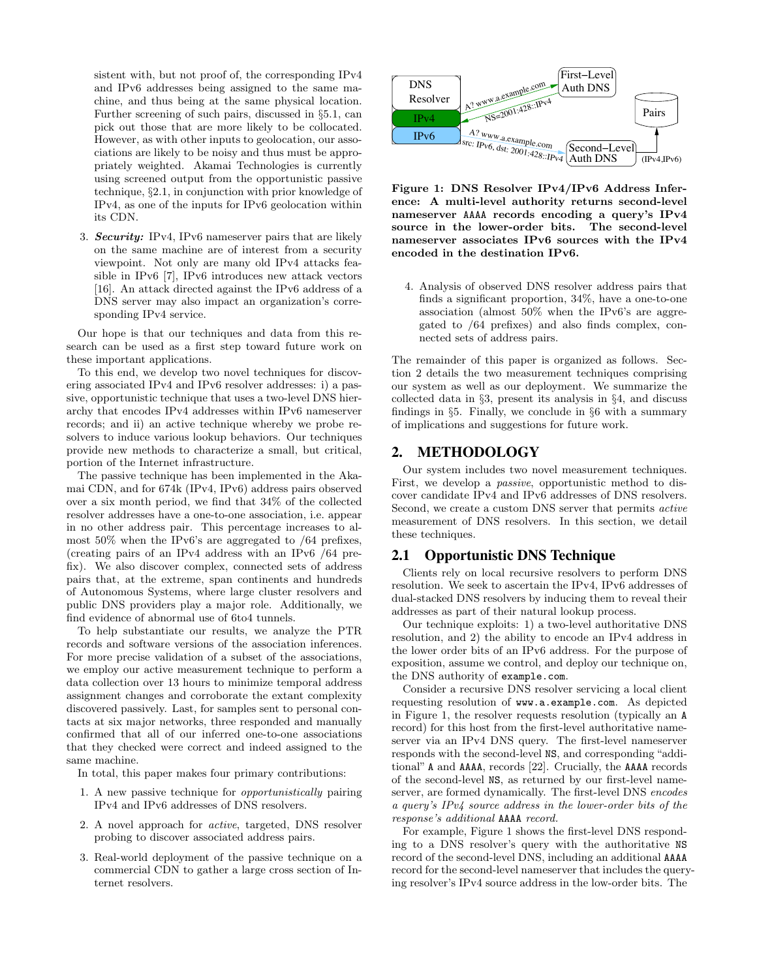sistent with, but not proof of, the corresponding IPv4 and IPv6 addresses being assigned to the same machine, and thus being at the same physical location. Further screening of such pairs, discussed in §5.1, can pick out those that are more likely to be collocated. However, as with other inputs to geolocation, our associations are likely to be noisy and thus must be appropriately weighted. Akamai Technologies is currently using screened output from the opportunistic passive technique, §2.1, in conjunction with prior knowledge of IPv4, as one of the inputs for IPv6 geolocation within its CDN.

3. **Security:** IPv4, IPv6 nameserver pairs that are likely on the same machine are of interest from a security viewpoint. Not only are many old IPv4 attacks feasible in IPv6 [7], IPv6 introduces new attack vectors [16]. An attack directed against the IPv6 address of a DNS server may also impact an organization's corresponding IPv4 service.

Our hope is that our techniques and data from this research can be used as a first step toward future work on these important applications.

To this end, we develop two novel techniques for discovering associated IPv4 and IPv6 resolver addresses: i) a passive, opportunistic technique that uses a two-level DNS hierarchy that encodes IPv4 addresses within IPv6 nameserver records; and ii) an active technique whereby we probe resolvers to induce various lookup behaviors. Our techniques provide new methods to characterize a small, but critical, portion of the Internet infrastructure.

The passive technique has been implemented in the Akamai CDN, and for 674k (IPv4, IPv6) address pairs observed over a six month period, we find that 34% of the collected resolver addresses have a one-to-one association, i.e. appear in no other address pair. This percentage increases to almost 50% when the IPv6's are aggregated to /64 prefixes, (creating pairs of an IPv4 address with an IPv6 /64 prefix). We also discover complex, connected sets of address pairs that, at the extreme, span continents and hundreds of Autonomous Systems, where large cluster resolvers and public DNS providers play a major role. Additionally, we find evidence of abnormal use of 6to4 tunnels.

To help substantiate our results, we analyze the PTR records and software versions of the association inferences. For more precise validation of a subset of the associations, we employ our active measurement technique to perform a data collection over 13 hours to minimize temporal address assignment changes and corroborate the extant complexity discovered passively. Last, for samples sent to personal contacts at six major networks, three responded and manually confirmed that all of our inferred one-to-one associations that they checked were correct and indeed assigned to the same machine.

In total, this paper makes four primary contributions:

- 1. A new passive technique for opportunistically pairing IPv4 and IPv6 addresses of DNS resolvers.
- 2. A novel approach for active, targeted, DNS resolver probing to discover associated address pairs.
- 3. Real-world deployment of the passive technique on a commercial CDN to gather a large cross section of Internet resolvers.



Figure 1: DNS Resolver IPv4/IPv6 Address Inference: A multi-level authority returns second-level nameserver AAAA records encoding a query's IPv4 source in the lower-order bits. The second-level nameserver associates IPv6 sources with the IPv4 encoded in the destination IPv6.

4. Analysis of observed DNS resolver address pairs that finds a significant proportion, 34%, have a one-to-one association (almost 50% when the IPv6's are aggregated to /64 prefixes) and also finds complex, connected sets of address pairs.

The remainder of this paper is organized as follows. Section 2 details the two measurement techniques comprising our system as well as our deployment. We summarize the collected data in §3, present its analysis in §4, and discuss findings in §5. Finally, we conclude in §6 with a summary of implications and suggestions for future work.

## 2. METHODOLOGY

Our system includes two novel measurement techniques. First, we develop a passive, opportunistic method to discover candidate IPv4 and IPv6 addresses of DNS resolvers. Second, we create a custom DNS server that permits active measurement of DNS resolvers. In this section, we detail these techniques.

#### 2.1 Opportunistic DNS Technique

Clients rely on local recursive resolvers to perform DNS resolution. We seek to ascertain the IPv4, IPv6 addresses of dual-stacked DNS resolvers by inducing them to reveal their addresses as part of their natural lookup process.

Our technique exploits: 1) a two-level authoritative DNS resolution, and 2) the ability to encode an IPv4 address in the lower order bits of an IPv6 address. For the purpose of exposition, assume we control, and deploy our technique on, the DNS authority of example.com.

Consider a recursive DNS resolver servicing a local client requesting resolution of www.a.example.com. As depicted in Figure 1, the resolver requests resolution (typically an A record) for this host from the first-level authoritative nameserver via an IPv4 DNS query. The first-level nameserver responds with the second-level NS, and corresponding "additional" A and AAAA, records [22]. Crucially, the AAAA records of the second-level NS, as returned by our first-level nameserver, are formed dynamically. The first-level DNS encodes a query's IPv4 source address in the lower-order bits of the response's additional AAAA record.

For example, Figure 1 shows the first-level DNS responding to a DNS resolver's query with the authoritative NS record of the second-level DNS, including an additional AAAA record for the second-level nameserver that includes the querying resolver's IPv4 source address in the low-order bits. The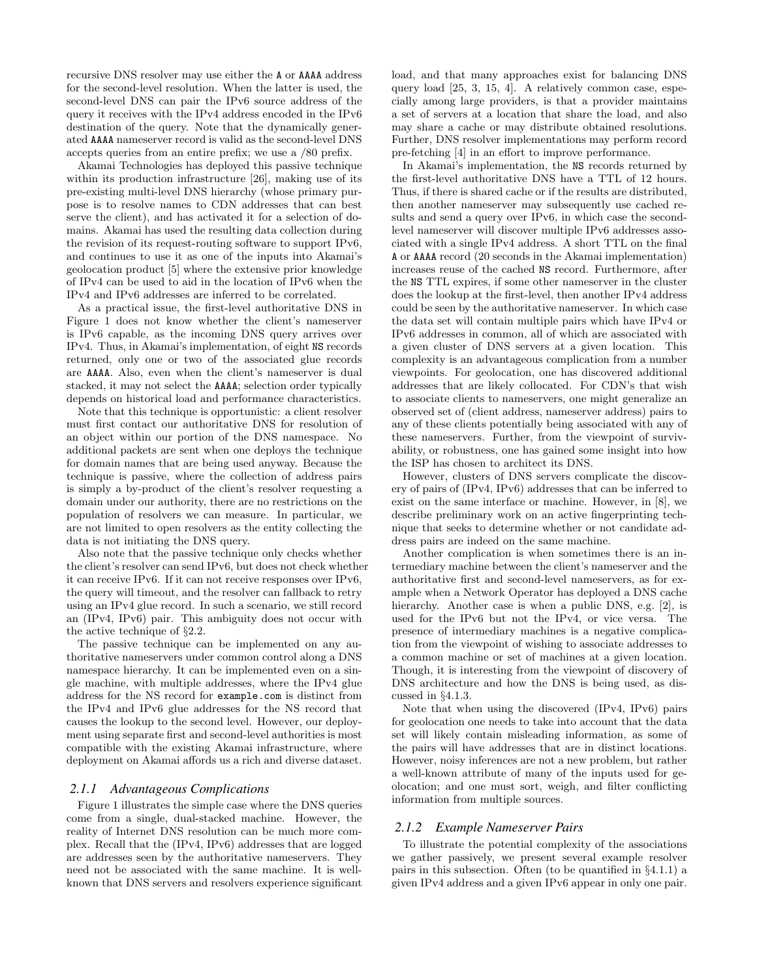recursive DNS resolver may use either the A or AAAA address for the second-level resolution. When the latter is used, the second-level DNS can pair the IPv6 source address of the query it receives with the IPv4 address encoded in the IPv6 destination of the query. Note that the dynamically generated AAAA nameserver record is valid as the second-level DNS accepts queries from an entire prefix; we use a /80 prefix.

Akamai Technologies has deployed this passive technique within its production infrastructure [26], making use of its pre-existing multi-level DNS hierarchy (whose primary purpose is to resolve names to CDN addresses that can best serve the client), and has activated it for a selection of domains. Akamai has used the resulting data collection during the revision of its request-routing software to support IPv6, and continues to use it as one of the inputs into Akamai's geolocation product [5] where the extensive prior knowledge of IPv4 can be used to aid in the location of IPv6 when the IPv4 and IPv6 addresses are inferred to be correlated.

As a practical issue, the first-level authoritative DNS in Figure 1 does not know whether the client's nameserver is IPv6 capable, as the incoming DNS query arrives over IPv4. Thus, in Akamai's implementation, of eight NS records returned, only one or two of the associated glue records are AAAA. Also, even when the client's nameserver is dual stacked, it may not select the AAAA; selection order typically depends on historical load and performance characteristics.

Note that this technique is opportunistic: a client resolver must first contact our authoritative DNS for resolution of an object within our portion of the DNS namespace. No additional packets are sent when one deploys the technique for domain names that are being used anyway. Because the technique is passive, where the collection of address pairs is simply a by-product of the client's resolver requesting a domain under our authority, there are no restrictions on the population of resolvers we can measure. In particular, we are not limited to open resolvers as the entity collecting the data is not initiating the DNS query.

Also note that the passive technique only checks whether the client's resolver can send IPv6, but does not check whether it can receive IPv6. If it can not receive responses over IPv6, the query will timeout, and the resolver can fallback to retry using an IPv4 glue record. In such a scenario, we still record an (IPv4, IPv6) pair. This ambiguity does not occur with the active technique of §2.2.

The passive technique can be implemented on any authoritative nameservers under common control along a DNS namespace hierarchy. It can be implemented even on a single machine, with multiple addresses, where the IPv4 glue address for the NS record for example.com is distinct from the IPv4 and IPv6 glue addresses for the NS record that causes the lookup to the second level. However, our deployment using separate first and second-level authorities is most compatible with the existing Akamai infrastructure, where deployment on Akamai affords us a rich and diverse dataset.

#### *2.1.1 Advantageous Complications*

Figure 1 illustrates the simple case where the DNS queries come from a single, dual-stacked machine. However, the reality of Internet DNS resolution can be much more complex. Recall that the (IPv4, IPv6) addresses that are logged are addresses seen by the authoritative nameservers. They need not be associated with the same machine. It is wellknown that DNS servers and resolvers experience significant load, and that many approaches exist for balancing DNS query load [25, 3, 15, 4]. A relatively common case, especially among large providers, is that a provider maintains a set of servers at a location that share the load, and also may share a cache or may distribute obtained resolutions. Further, DNS resolver implementations may perform record pre-fetching [4] in an effort to improve performance.

In Akamai's implementation, the NS records returned by the first-level authoritative DNS have a TTL of 12 hours. Thus, if there is shared cache or if the results are distributed, then another nameserver may subsequently use cached results and send a query over IPv6, in which case the secondlevel nameserver will discover multiple IPv6 addresses associated with a single IPv4 address. A short TTL on the final A or AAAA record (20 seconds in the Akamai implementation) increases reuse of the cached NS record. Furthermore, after the NS TTL expires, if some other nameserver in the cluster does the lookup at the first-level, then another IPv4 address could be seen by the authoritative nameserver. In which case the data set will contain multiple pairs which have IPv4 or IPv6 addresses in common, all of which are associated with a given cluster of DNS servers at a given location. This complexity is an advantageous complication from a number viewpoints. For geolocation, one has discovered additional addresses that are likely collocated. For CDN's that wish to associate clients to nameservers, one might generalize an observed set of (client address, nameserver address) pairs to any of these clients potentially being associated with any of these nameservers. Further, from the viewpoint of survivability, or robustness, one has gained some insight into how the ISP has chosen to architect its DNS.

However, clusters of DNS servers complicate the discovery of pairs of (IPv4, IPv6) addresses that can be inferred to exist on the same interface or machine. However, in [8], we describe preliminary work on an active fingerprinting technique that seeks to determine whether or not candidate address pairs are indeed on the same machine.

Another complication is when sometimes there is an intermediary machine between the client's nameserver and the authoritative first and second-level nameservers, as for example when a Network Operator has deployed a DNS cache hierarchy. Another case is when a public DNS, e.g. [2], is used for the IPv6 but not the IPv4, or vice versa. The presence of intermediary machines is a negative complication from the viewpoint of wishing to associate addresses to a common machine or set of machines at a given location. Though, it is interesting from the viewpoint of discovery of DNS architecture and how the DNS is being used, as discussed in §4.1.3.

Note that when using the discovered (IPv4, IPv6) pairs for geolocation one needs to take into account that the data set will likely contain misleading information, as some of the pairs will have addresses that are in distinct locations. However, noisy inferences are not a new problem, but rather a well-known attribute of many of the inputs used for geolocation; and one must sort, weigh, and filter conflicting information from multiple sources.

#### *2.1.2 Example Nameserver Pairs*

To illustrate the potential complexity of the associations we gather passively, we present several example resolver pairs in this subsection. Often (to be quantified in §4.1.1) a given IPv4 address and a given IPv6 appear in only one pair.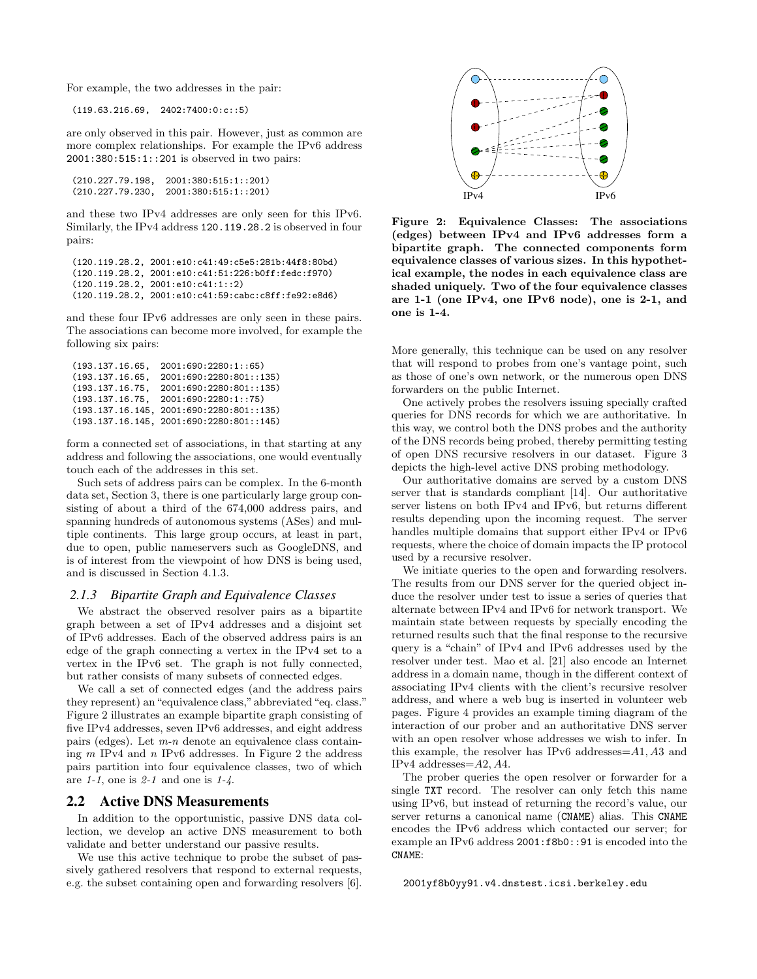For example, the two addresses in the pair:

(119.63.216.69, 2402:7400:0:c::5)

are only observed in this pair. However, just as common are more complex relationships. For example the IPv6 address 2001:380:515:1::201 is observed in two pairs:

```
(210.227.79.198, 2001:380:515:1::201)
(210.227.79.230, 2001:380:515:1::201)
```
and these two IPv4 addresses are only seen for this IPv6. Similarly, the IPv4 address 120.119.28.2 is observed in four pairs:

```
(120.119.28.2, 2001:e10:c41:49:c5e5:281b:44f8:80bd)
(120.119.28.2, 2001:e10:c41:51:226:b0ff:fedc:f970)
(120.119.28.2, 2001:e10:c41:1::2)
(120.119.28.2, 2001:e10:c41:59:cabc:c8ff:fe92:e8d6)
```
and these four IPv6 addresses are only seen in these pairs. The associations can become more involved, for example the following six pairs:

```
(193.137.16.65, 2001:690:2280:1::65)<br>(193.137.16.65, 2001:690:2280:801::1
                       (2001:690:2280:801:135)(193.137.16.75, 2001:690:2280:801:135)<br>(193.137.16.75, 2001:690:2280:1:75)(193.137.16.75,(193.137.16.145, 2001:690:2280:801::135)
(193.137.16.145, 2001:690:2280:801::145)
```
form a connected set of associations, in that starting at any address and following the associations, one would eventually touch each of the addresses in this set.

Such sets of address pairs can be complex. In the 6-month data set, Section 3, there is one particularly large group consisting of about a third of the 674,000 address pairs, and spanning hundreds of autonomous systems (ASes) and multiple continents. This large group occurs, at least in part, due to open, public nameservers such as GoogleDNS, and is of interest from the viewpoint of how DNS is being used, and is discussed in Section 4.1.3.

#### *2.1.3 Bipartite Graph and Equivalence Classes*

We abstract the observed resolver pairs as a bipartite graph between a set of IPv4 addresses and a disjoint set of IPv6 addresses. Each of the observed address pairs is an edge of the graph connecting a vertex in the IPv4 set to a vertex in the IPv6 set. The graph is not fully connected, but rather consists of many subsets of connected edges.

We call a set of connected edges (and the address pairs they represent) an "equivalence class," abbreviated "eq. class." Figure 2 illustrates an example bipartite graph consisting of five IPv4 addresses, seven IPv6 addresses, and eight address pairs (edges). Let  $m-n$  denote an equivalence class containing  $m$  IPv4 and  $n$  IPv6 addresses. In Figure 2 the address pairs partition into four equivalence classes, two of which are  $1-1$ , one is  $2-1$  and one is  $1-4$ .

## 2.2 Active DNS Measurements

In addition to the opportunistic, passive DNS data collection, we develop an active DNS measurement to both validate and better understand our passive results.

We use this active technique to probe the subset of passively gathered resolvers that respond to external requests, e.g. the subset containing open and forwarding resolvers [6].



Figure 2: Equivalence Classes: The associations (edges) between IPv4 and IPv6 addresses form a bipartite graph. The connected components form equivalence classes of various sizes. In this hypothetical example, the nodes in each equivalence class are shaded uniquely. Two of the four equivalence classes are 1-1 (one IPv4, one IPv6 node), one is 2-1, and one is 1-4.

More generally, this technique can be used on any resolver that will respond to probes from one's vantage point, such as those of one's own network, or the numerous open DNS forwarders on the public Internet.

One actively probes the resolvers issuing specially crafted queries for DNS records for which we are authoritative. In this way, we control both the DNS probes and the authority of the DNS records being probed, thereby permitting testing of open DNS recursive resolvers in our dataset. Figure 3 depicts the high-level active DNS probing methodology.

Our authoritative domains are served by a custom DNS server that is standards compliant [14]. Our authoritative server listens on both IPv4 and IPv6, but returns different results depending upon the incoming request. The server handles multiple domains that support either IPv4 or IPv6 requests, where the choice of domain impacts the IP protocol used by a recursive resolver.

We initiate queries to the open and forwarding resolvers. The results from our DNS server for the queried object induce the resolver under test to issue a series of queries that alternate between IPv4 and IPv6 for network transport. We maintain state between requests by specially encoding the returned results such that the final response to the recursive query is a "chain" of IPv4 and IPv6 addresses used by the resolver under test. Mao et al. [21] also encode an Internet address in a domain name, though in the different context of associating IPv4 clients with the client's recursive resolver address, and where a web bug is inserted in volunteer web pages. Figure 4 provides an example timing diagram of the interaction of our prober and an authoritative DNS server with an open resolver whose addresses we wish to infer. In this example, the resolver has IPv6 addresses=A1, A3 and IPv4 addresses=A2, A4.

The prober queries the open resolver or forwarder for a single TXT record. The resolver can only fetch this name using IPv6, but instead of returning the record's value, our server returns a canonical name (CNAME) alias. This CNAME encodes the IPv6 address which contacted our server; for example an IPv6 address 2001:f8b0::91 is encoded into the CNAME:

2001yf8b0yy91.v4.dnstest.icsi.berkeley.edu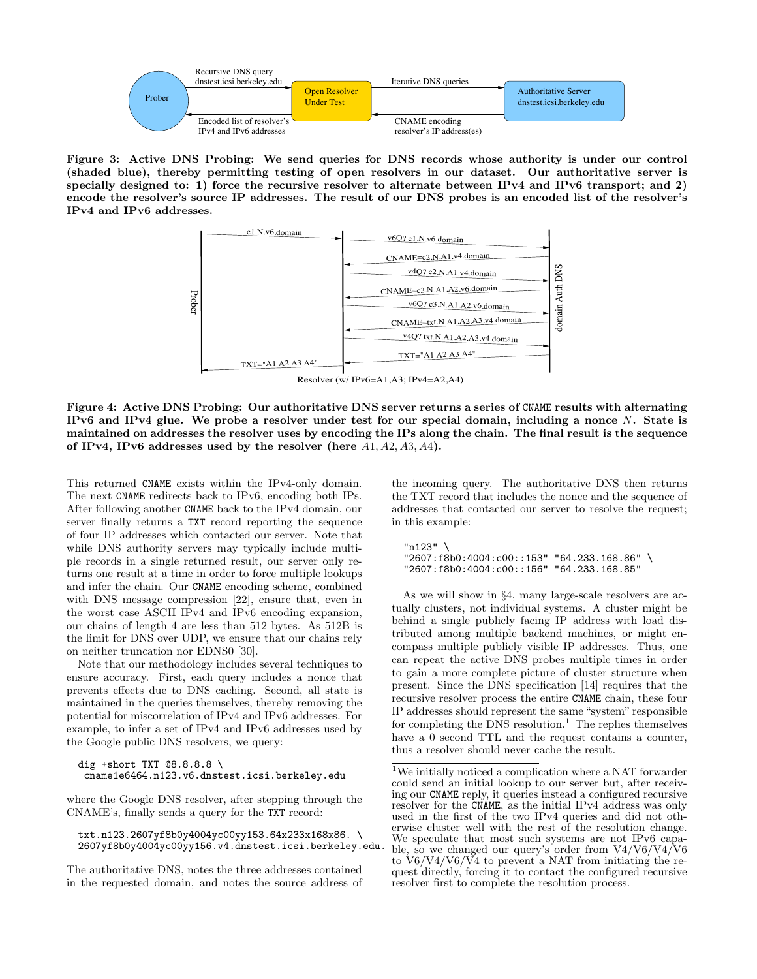

Figure 3: Active DNS Probing: We send queries for DNS records whose authority is under our control (shaded blue), thereby permitting testing of open resolvers in our dataset. Our authoritative server is specially designed to: 1) force the recursive resolver to alternate between IPv4 and IPv6 transport; and 2) encode the resolver's source IP addresses. The result of our DNS probes is an encoded list of the resolver's IPv4 and IPv6 addresses.



Figure 4: Active DNS Probing: Our authoritative DNS server returns a series of CNAME results with alternating IPv6 and IPv4 glue. We probe a resolver under test for our special domain, including a nonce  $N$ . State is maintained on addresses the resolver uses by encoding the IPs along the chain. The final result is the sequence of IPv4, IPv6 addresses used by the resolver (here  $A1, A2, A3, A4$ ).

This returned CNAME exists within the IPv4-only domain. The next CNAME redirects back to IPv6, encoding both IPs. After following another CNAME back to the IPv4 domain, our server finally returns a TXT record reporting the sequence of four IP addresses which contacted our server. Note that while DNS authority servers may typically include multiple records in a single returned result, our server only returns one result at a time in order to force multiple lookups and infer the chain. Our CNAME encoding scheme, combined with DNS message compression [22], ensure that, even in the worst case ASCII IPv4 and IPv6 encoding expansion, our chains of length 4 are less than 512 bytes. As 512B is the limit for DNS over UDP, we ensure that our chains rely on neither truncation nor EDNS0 [30].

Note that our methodology includes several techniques to ensure accuracy. First, each query includes a nonce that prevents effects due to DNS caching. Second, all state is maintained in the queries themselves, thereby removing the potential for miscorrelation of IPv4 and IPv6 addresses. For example, to infer a set of IPv4 and IPv6 addresses used by the Google public DNS resolvers, we query:

```
dig +short TXT @8.8.8.8 \
 cname1e6464.n123.v6.dnstest.icsi.berkeley.edu
```
where the Google DNS resolver, after stepping through the CNAME's, finally sends a query for the TXT record:

txt.n123.2607yf8b0y4004yc00yy153.64x233x168x86. \ 2607yf8b0y4004yc00yy156.v4.dnstest.icsi.berkeley.edu.

The authoritative DNS, notes the three addresses contained in the requested domain, and notes the source address of the incoming query. The authoritative DNS then returns the TXT record that includes the nonce and the sequence of addresses that contacted our server to resolve the request; in this example:

```
"n123" \
"2607:f8b0:4004:c00::153" "64.233.168.86" \
"2607:f8b0:4004:c00::156" "64.233.168.85"
```
As we will show in §4, many large-scale resolvers are actually clusters, not individual systems. A cluster might be behind a single publicly facing IP address with load distributed among multiple backend machines, or might encompass multiple publicly visible IP addresses. Thus, one can repeat the active DNS probes multiple times in order to gain a more complete picture of cluster structure when present. Since the DNS specification [14] requires that the recursive resolver process the entire CNAME chain, these four IP addresses should represent the same "system" responsible for completing the DNS resolution.<sup>1</sup> The replies themselves have a 0 second TTL and the request contains a counter, thus a resolver should never cache the result.

<sup>1</sup>We initially noticed a complication where a NAT forwarder could send an initial lookup to our server but, after receiving our CNAME reply, it queries instead a configured recursive resolver for the CNAME, as the initial IPv4 address was only used in the first of the two IPv4 queries and did not otherwise cluster well with the rest of the resolution change. We speculate that most such systems are not IPv6 capable, so we changed our query's order from V4/V6/V4/V6 to V6/V4/V6/V4 to prevent a NAT from initiating the request directly, forcing it to contact the configured recursive resolver first to complete the resolution process.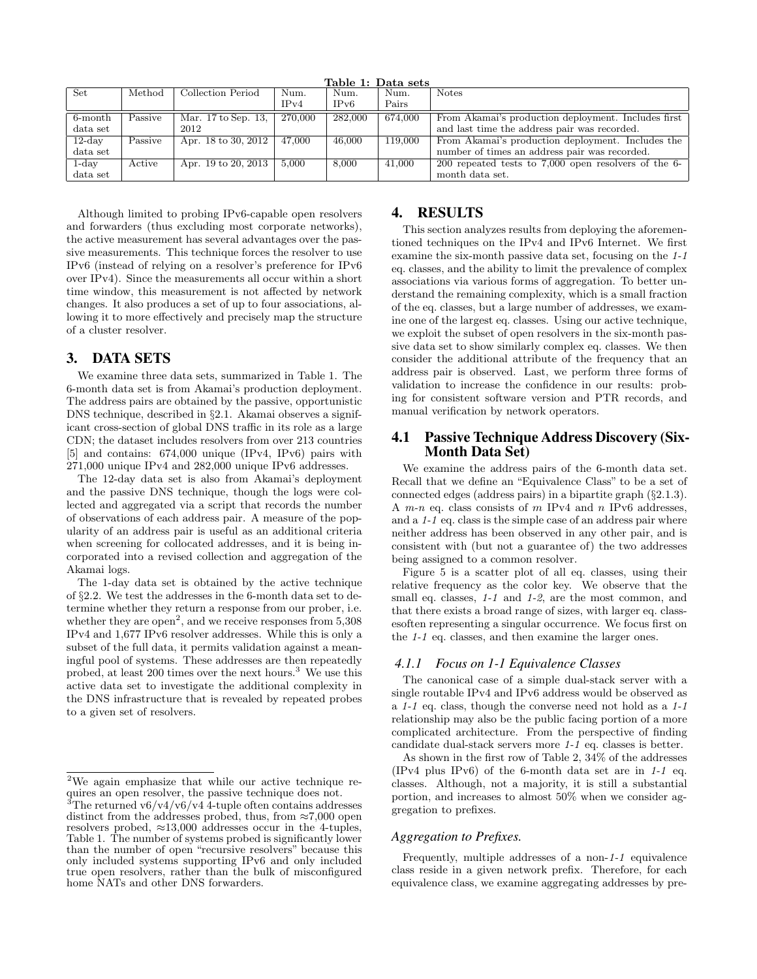| Table 1: Data sets  |         |                                 |         |         |         |                                                      |
|---------------------|---------|---------------------------------|---------|---------|---------|------------------------------------------------------|
| Set                 | Method  | Collection Period               | Num.    | Num.    | Num.    | <b>Notes</b>                                         |
|                     |         |                                 | IPv4    | IPv6    | Pairs   |                                                      |
| 6-month             | Passive | Mar. $17 \text{ to Sep. } 13$ . | 270,000 | 282,000 | 674.000 | From Akamai's production deployment. Includes first  |
| data <sub>set</sub> |         | 2012                            |         |         |         | and last time the address pair was recorded.         |
| $12$ -day           | Passive | Apr. 18 to 30, 2012             | 47.000  | 46,000  | 119,000 | From Akamai's production deployment. Includes the    |
| data <sub>set</sub> |         |                                 |         |         |         | number of times an address pair was recorded.        |
| $1$ -day            | Active  | Apr. 19 to 20, 2013             | 5,000   | 8,000   | 41,000  | 200 repeated tests to 7,000 open resolvers of the 6- |
| data set            |         |                                 |         |         |         | month data set.                                      |

Although limited to probing IPv6-capable open resolvers and forwarders (thus excluding most corporate networks), the active measurement has several advantages over the passive measurements. This technique forces the resolver to use IPv6 (instead of relying on a resolver's preference for IPv6 over IPv4). Since the measurements all occur within a short time window, this measurement is not affected by network changes. It also produces a set of up to four associations, allowing it to more effectively and precisely map the structure of a cluster resolver.

# 3. DATA SETS

We examine three data sets, summarized in Table 1. The 6-month data set is from Akamai's production deployment. The address pairs are obtained by the passive, opportunistic DNS technique, described in §2.1. Akamai observes a significant cross-section of global DNS traffic in its role as a large CDN; the dataset includes resolvers from over 213 countries [5] and contains: 674,000 unique (IPv4, IPv6) pairs with 271,000 unique IPv4 and 282,000 unique IPv6 addresses.

The 12-day data set is also from Akamai's deployment and the passive DNS technique, though the logs were collected and aggregated via a script that records the number of observations of each address pair. A measure of the popularity of an address pair is useful as an additional criteria when screening for collocated addresses, and it is being incorporated into a revised collection and aggregation of the Akamai logs.

The 1-day data set is obtained by the active technique of §2.2. We test the addresses in the 6-month data set to determine whether they return a response from our prober, i.e. whether they are  $open<sup>2</sup>$ , and we receive responses from  $5,308$ IPv4 and 1,677 IPv6 resolver addresses. While this is only a subset of the full data, it permits validation against a meaningful pool of systems. These addresses are then repeatedly probed, at least 200 times over the next hours.<sup>3</sup> We use this active data set to investigate the additional complexity in the DNS infrastructure that is revealed by repeated probes to a given set of resolvers.

# 4. RESULTS

This section analyzes results from deploying the aforementioned techniques on the IPv4 and IPv6 Internet. We first examine the six-month passive data set, focusing on the 1-1 eq. classes, and the ability to limit the prevalence of complex associations via various forms of aggregation. To better understand the remaining complexity, which is a small fraction of the eq. classes, but a large number of addresses, we examine one of the largest eq. classes. Using our active technique, we exploit the subset of open resolvers in the six-month passive data set to show similarly complex eq. classes. We then consider the additional attribute of the frequency that an address pair is observed. Last, we perform three forms of validation to increase the confidence in our results: probing for consistent software version and PTR records, and manual verification by network operators.

## 4.1 Passive Technique Address Discovery (Six-Month Data Set)

We examine the address pairs of the 6-month data set. Recall that we define an "Equivalence Class" to be a set of connected edges (address pairs) in a bipartite graph (§2.1.3). A  $m-n$  eq. class consists of  $m$  IPv4 and  $n$  IPv6 addresses, and a 1-1 eq. class is the simple case of an address pair where neither address has been observed in any other pair, and is consistent with (but not a guarantee of) the two addresses being assigned to a common resolver.

Figure 5 is a scatter plot of all eq. classes, using their relative frequency as the color key. We observe that the small eq. classes,  $1-1$  and  $1-2$ , are the most common, and that there exists a broad range of sizes, with larger eq. classesoften representing a singular occurrence. We focus first on the 1-1 eq. classes, and then examine the larger ones.

## *4.1.1 Focus on 1-1 Equivalence Classes*

The canonical case of a simple dual-stack server with a single routable IPv4 and IPv6 address would be observed as a 1-1 eq. class, though the converse need not hold as a 1-1 relationship may also be the public facing portion of a more complicated architecture. From the perspective of finding candidate dual-stack servers more 1-1 eq. classes is better.

As shown in the first row of Table 2, 34% of the addresses (IPv4 plus IPv6) of the 6-month data set are in  $1-1$  eq. classes. Although, not a majority, it is still a substantial portion, and increases to almost 50% when we consider aggregation to prefixes.

#### *Aggregation to Prefixes.*

Frequently, multiple addresses of a non-1-1 equivalence class reside in a given network prefix. Therefore, for each equivalence class, we examine aggregating addresses by pre-

<sup>2</sup>We again emphasize that while our active technique requires an open resolver, the passive technique does not.

 $3$ The returned v6/v4/v6/v4 4-tuple often contains addresses distinct from the addresses probed, thus, from  $\approx 7,000$  open resolvers probed,  $\approx 13,000$  addresses occur in the 4-tuples, Table 1. The number of systems probed is significantly lower than the number of open "recursive resolvers" because this only included systems supporting IPv6 and only included true open resolvers, rather than the bulk of misconfigured home  $NATs$  and other DNS forwarders.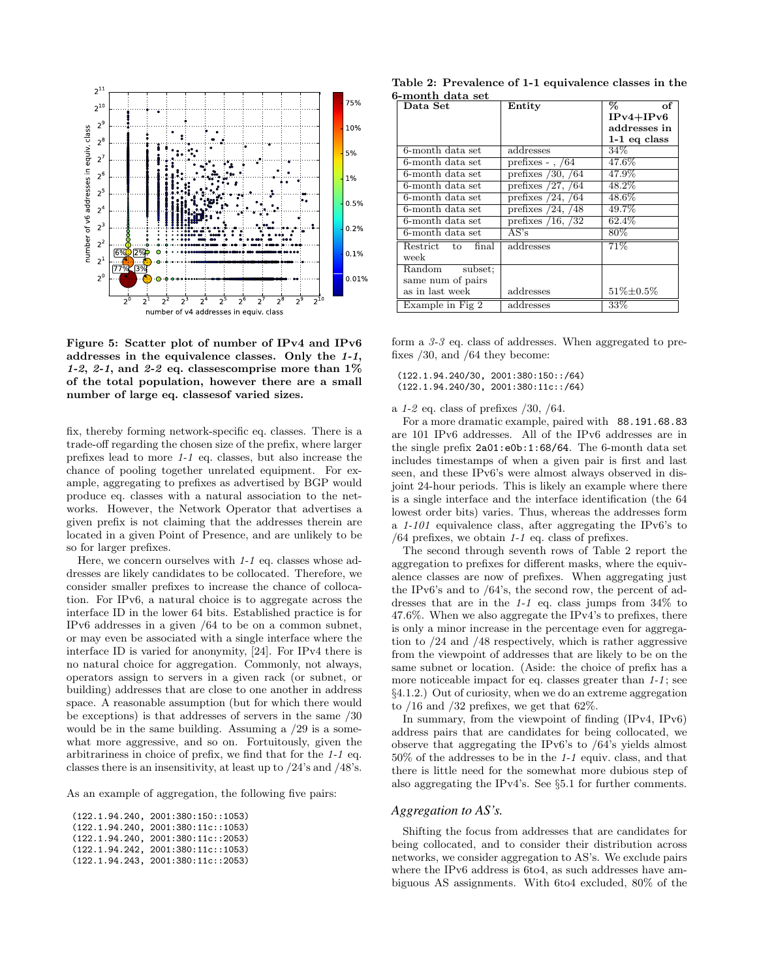

Figure 5: Scatter plot of number of IPv4 and IPv6 addresses in the equivalence classes. Only the 1-1, 1-2, 2-1, and 2-2 eq. classes comprise more than  $1\%$ of the total population, however there are a small number of large eq. classesof varied sizes.

fix, thereby forming network-specific eq. classes. There is a trade-off regarding the chosen size of the prefix, where larger prefixes lead to more 1-1 eq. classes, but also increase the chance of pooling together unrelated equipment. For example, aggregating to prefixes as advertised by BGP would produce eq. classes with a natural association to the networks. However, the Network Operator that advertises a given prefix is not claiming that the addresses therein are located in a given Point of Presence, and are unlikely to be so for larger prefixes.

Here, we concern ourselves with 1-1 eq. classes whose addresses are likely candidates to be collocated. Therefore, we consider smaller prefixes to increase the chance of collocation. For IPv6, a natural choice is to aggregate across the interface ID in the lower 64 bits. Established practice is for IPv6 addresses in a given /64 to be on a common subnet, or may even be associated with a single interface where the interface ID is varied for anonymity, [24]. For IPv4 there is no natural choice for aggregation. Commonly, not always, operators assign to servers in a given rack (or subnet, or building) addresses that are close to one another in address space. A reasonable assumption (but for which there would be exceptions) is that addresses of servers in the same /30 would be in the same building. Assuming a /29 is a somewhat more aggressive, and so on. Fortuitously, given the arbitrariness in choice of prefix, we find that for the 1-1 eq. classes there is an insensitivity, at least up to /24's and /48's.

As an example of aggregation, the following five pairs:

| (122.1.94.240, 2001:380:150::1053) |
|------------------------------------|
| (122.1.94.240, 2001:380:11c::1053) |
| (122.1.94.240, 2001:380:11c::2053) |
| (122.1.94.242, 2001:380:11c::1053) |
| (122.1.94.243, 2001:380:11c::2053) |

Table 2: Prevalence of 1-1 equivalence classes in the 6-month data set

| v-munu uata set                       |                        |                |  |  |  |  |
|---------------------------------------|------------------------|----------------|--|--|--|--|
| $\rm Data~Set$                        | Entity                 | ℅<br>of        |  |  |  |  |
|                                       |                        | $IPv4+IPv6$    |  |  |  |  |
|                                       |                        | addresses in   |  |  |  |  |
|                                       |                        | $1-1$ eq class |  |  |  |  |
| 6-month data set                      | addresses              | 34%            |  |  |  |  |
| 6-month data set                      | prefixes - $, 64$      | 47.6%          |  |  |  |  |
| 6-month data set                      | prefixes $/30, /64$    | 47.9%          |  |  |  |  |
| 6-month data set                      | prefixes $/27, /64$    | $48.2\%$       |  |  |  |  |
| 6-month data set                      | prefixes $/24, /64$    | $48.6\%$       |  |  |  |  |
| 6-month data set                      | prefixes $/24, /48$    | 49.7%          |  |  |  |  |
| 6-month data set                      | prefixes $/16$ , $/32$ | 62.4%          |  |  |  |  |
| 6-month data set                      | AS's                   | 80%            |  |  |  |  |
| Restrict to<br>final                  | addresses              | 71%            |  |  |  |  |
| week                                  |                        |                |  |  |  |  |
| $\overline{\text{Random}}$<br>subset: |                        |                |  |  |  |  |
| same num of pairs                     |                        |                |  |  |  |  |
| as in last week                       | addresses              | 51%±0.5%       |  |  |  |  |
| Example in Fig 2                      | addresses              | 33%            |  |  |  |  |

form a 3-3 eq. class of addresses. When aggregated to prefixes /30, and /64 they become:

(122.1.94.240/30, 2001:380:150::/64) (122.1.94.240/30, 2001:380:11c::/64)

a  $1-2$  eq. class of prefixes  $/30$ ,  $/64$ .

For a more dramatic example, paired with 88.191.68.83 are 101 IPv6 addresses. All of the IPv6 addresses are in the single prefix 2a01:e0b:1:68/64. The 6-month data set includes timestamps of when a given pair is first and last seen, and these IPv6's were almost always observed in disjoint 24-hour periods. This is likely an example where there is a single interface and the interface identification (the 64 lowest order bits) varies. Thus, whereas the addresses form a 1-101 equivalence class, after aggregating the IPv6's to  $/64$  prefixes, we obtain 1-1 eq. class of prefixes.

The second through seventh rows of Table 2 report the aggregation to prefixes for different masks, where the equivalence classes are now of prefixes. When aggregating just the IPv6's and to /64's, the second row, the percent of addresses that are in the 1-1 eq. class jumps from 34% to 47.6%. When we also aggregate the IPv4's to prefixes, there is only a minor increase in the percentage even for aggregation to /24 and /48 respectively, which is rather aggressive from the viewpoint of addresses that are likely to be on the same subnet or location. (Aside: the choice of prefix has a more noticeable impact for eq. classes greater than  $1-1$ ; see §4.1.2.) Out of curiosity, when we do an extreme aggregation to  $/16$  and  $/32$  prefixes, we get that 62%.

In summary, from the viewpoint of finding (IPv4, IPv6) address pairs that are candidates for being collocated, we observe that aggregating the IPv6's to /64's yields almost 50% of the addresses to be in the 1-1 equiv. class, and that there is little need for the somewhat more dubious step of also aggregating the IPv4's. See §5.1 for further comments.

#### *Aggregation to AS's.*

Shifting the focus from addresses that are candidates for being collocated, and to consider their distribution across networks, we consider aggregation to AS's. We exclude pairs where the IPv6 address is 6to4, as such addresses have ambiguous AS assignments. With 6to4 excluded, 80% of the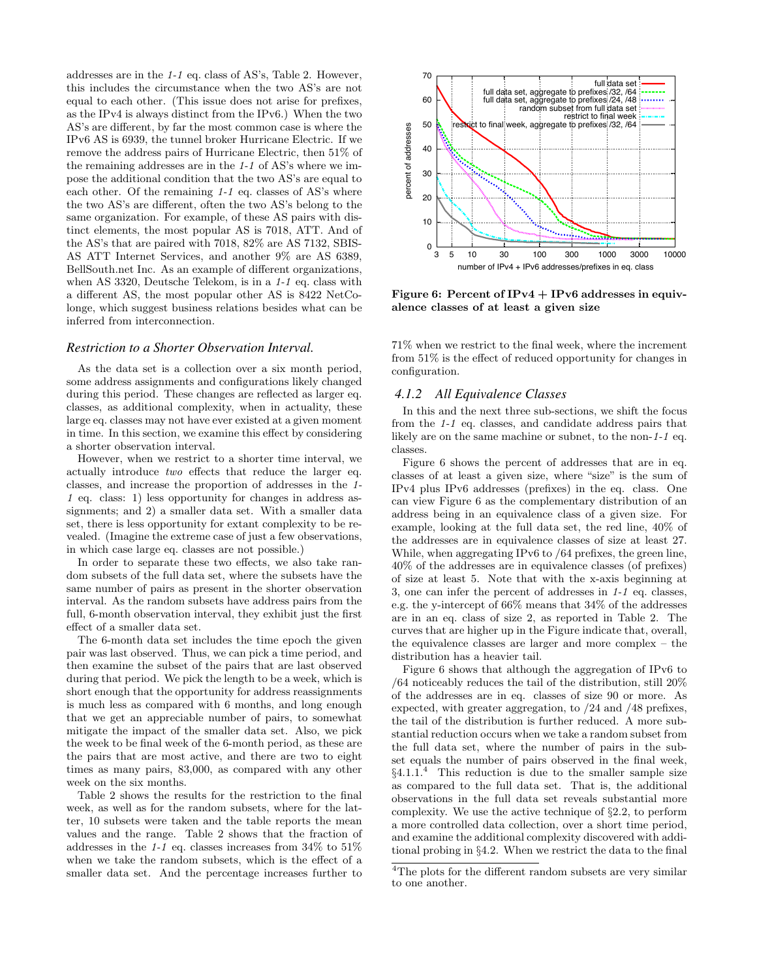addresses are in the 1-1 eq. class of AS's, Table 2. However, this includes the circumstance when the two AS's are not equal to each other. (This issue does not arise for prefixes, as the IPv4 is always distinct from the IPv6.) When the two AS's are different, by far the most common case is where the IPv6 AS is 6939, the tunnel broker Hurricane Electric. If we remove the address pairs of Hurricane Electric, then 51% of the remaining addresses are in the 1-1 of AS's where we impose the additional condition that the two AS's are equal to each other. Of the remaining 1-1 eq. classes of AS's where the two AS's are different, often the two AS's belong to the same organization. For example, of these AS pairs with distinct elements, the most popular AS is 7018, ATT. And of the AS's that are paired with 7018, 82% are AS 7132, SBIS-AS ATT Internet Services, and another 9% are AS 6389, BellSouth.net Inc. As an example of different organizations, when AS 3320, Deutsche Telekom, is in a 1-1 eq. class with a different AS, the most popular other AS is 8422 NetColonge, which suggest business relations besides what can be inferred from interconnection.

#### *Restriction to a Shorter Observation Interval.*

As the data set is a collection over a six month period, some address assignments and configurations likely changed during this period. These changes are reflected as larger eq. classes, as additional complexity, when in actuality, these large eq. classes may not have ever existed at a given moment in time. In this section, we examine this effect by considering a shorter observation interval.

However, when we restrict to a shorter time interval, we actually introduce two effects that reduce the larger eq. classes, and increase the proportion of addresses in the 1- 1 eq. class: 1) less opportunity for changes in address assignments; and 2) a smaller data set. With a smaller data set, there is less opportunity for extant complexity to be revealed. (Imagine the extreme case of just a few observations, in which case large eq. classes are not possible.)

In order to separate these two effects, we also take random subsets of the full data set, where the subsets have the same number of pairs as present in the shorter observation interval. As the random subsets have address pairs from the full, 6-month observation interval, they exhibit just the first effect of a smaller data set.

The 6-month data set includes the time epoch the given pair was last observed. Thus, we can pick a time period, and then examine the subset of the pairs that are last observed during that period. We pick the length to be a week, which is short enough that the opportunity for address reassignments is much less as compared with 6 months, and long enough that we get an appreciable number of pairs, to somewhat mitigate the impact of the smaller data set. Also, we pick the week to be final week of the 6-month period, as these are the pairs that are most active, and there are two to eight times as many pairs, 83,000, as compared with any other week on the six months.

Table 2 shows the results for the restriction to the final week, as well as for the random subsets, where for the latter, 10 subsets were taken and the table reports the mean values and the range. Table 2 shows that the fraction of addresses in the 1-1 eq. classes increases from 34% to 51% when we take the random subsets, which is the effect of a smaller data set. And the percentage increases further to



Figure 6: Percent of IPv4 + IPv6 addresses in equivalence classes of at least a given size

71% when we restrict to the final week, where the increment from 51% is the effect of reduced opportunity for changes in configuration.

## *4.1.2 All Equivalence Classes*

In this and the next three sub-sections, we shift the focus from the 1-1 eq. classes, and candidate address pairs that likely are on the same machine or subnet, to the non-1-1 eq. classes.

Figure 6 shows the percent of addresses that are in eq. classes of at least a given size, where "size" is the sum of IPv4 plus IPv6 addresses (prefixes) in the eq. class. One can view Figure 6 as the complementary distribution of an address being in an equivalence class of a given size. For example, looking at the full data set, the red line, 40% of the addresses are in equivalence classes of size at least 27. While, when aggregating IPv6 to /64 prefixes, the green line, 40% of the addresses are in equivalence classes (of prefixes) of size at least 5. Note that with the x-axis beginning at 3, one can infer the percent of addresses in 1-1 eq. classes, e.g. the y-intercept of 66% means that 34% of the addresses are in an eq. class of size 2, as reported in Table 2. The curves that are higher up in the Figure indicate that, overall, the equivalence classes are larger and more complex – the distribution has a heavier tail.

Figure 6 shows that although the aggregation of IPv6 to /64 noticeably reduces the tail of the distribution, still 20% of the addresses are in eq. classes of size 90 or more. As expected, with greater aggregation, to /24 and /48 prefixes, the tail of the distribution is further reduced. A more substantial reduction occurs when we take a random subset from the full data set, where the number of pairs in the subset equals the number of pairs observed in the final week,  $§4.1.1<sup>4</sup>$  This reduction is due to the smaller sample size as compared to the full data set. That is, the additional observations in the full data set reveals substantial more complexity. We use the active technique of §2.2, to perform a more controlled data collection, over a short time period, and examine the additional complexity discovered with additional probing in §4.2. When we restrict the data to the final

 $\rm ^4The$  plots for the different random subsets are very similar to one another.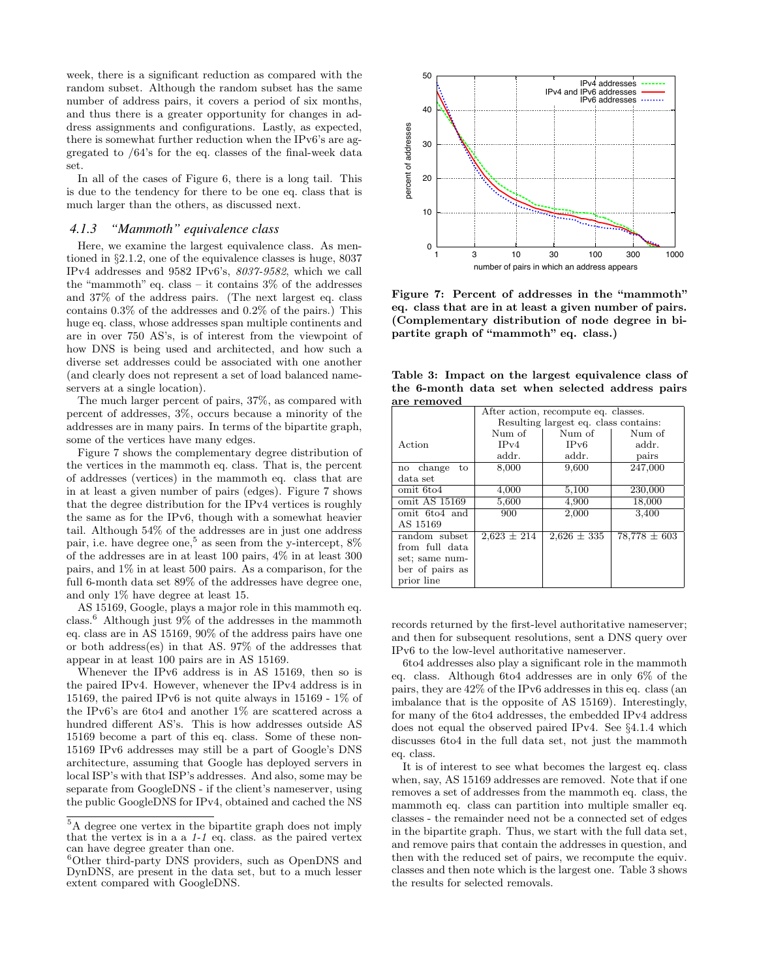week, there is a significant reduction as compared with the random subset. Although the random subset has the same number of address pairs, it covers a period of six months, and thus there is a greater opportunity for changes in address assignments and configurations. Lastly, as expected, there is somewhat further reduction when the IPv6's are aggregated to /64's for the eq. classes of the final-week data set.

In all of the cases of Figure 6, there is a long tail. This is due to the tendency for there to be one eq. class that is much larger than the others, as discussed next.

## *4.1.3 "Mammoth" equivalence class*

Here, we examine the largest equivalence class. As mentioned in §2.1.2, one of the equivalence classes is huge, 8037 IPv4 addresses and 9582 IPv6's, 8037-9582, which we call the "mammoth" eq. class – it contains 3% of the addresses and 37% of the address pairs. (The next largest eq. class contains 0.3% of the addresses and 0.2% of the pairs.) This huge eq. class, whose addresses span multiple continents and are in over 750 AS's, is of interest from the viewpoint of how DNS is being used and architected, and how such a diverse set addresses could be associated with one another (and clearly does not represent a set of load balanced nameservers at a single location).

The much larger percent of pairs, 37%, as compared with percent of addresses, 3%, occurs because a minority of the addresses are in many pairs. In terms of the bipartite graph, some of the vertices have many edges.

Figure 7 shows the complementary degree distribution of the vertices in the mammoth eq. class. That is, the percent of addresses (vertices) in the mammoth eq. class that are in at least a given number of pairs (edges). Figure 7 shows that the degree distribution for the IPv4 vertices is roughly the same as for the IPv6, though with a somewhat heavier tail. Although 54% of the addresses are in just one address pair, i.e. have degree one,<sup>5</sup> as seen from the y-intercept,  $8\%$ of the addresses are in at least 100 pairs, 4% in at least 300 pairs, and 1% in at least 500 pairs. As a comparison, for the full 6-month data set 89% of the addresses have degree one, and only 1% have degree at least 15.

AS 15169, Google, plays a major role in this mammoth eq. class.<sup>6</sup> Although just 9% of the addresses in the mammoth eq. class are in AS 15169, 90% of the address pairs have one or both address(es) in that AS. 97% of the addresses that appear in at least 100 pairs are in AS 15169.

Whenever the IPv6 address is in AS 15169, then so is the paired IPv4. However, whenever the IPv4 address is in 15169, the paired IPv6 is not quite always in 15169 - 1% of the IPv6's are 6to4 and another 1% are scattered across a hundred different AS's. This is how addresses outside AS 15169 become a part of this eq. class. Some of these non-15169 IPv6 addresses may still be a part of Google's DNS architecture, assuming that Google has deployed servers in local ISP's with that ISP's addresses. And also, some may be separate from GoogleDNS - if the client's nameserver, using the public GoogleDNS for IPv4, obtained and cached the NS



Figure 7: Percent of addresses in the "mammoth" eq. class that are in at least a given number of pairs. (Complementary distribution of node degree in bipartite graph of "mammoth" eq. class.)

Table 3: Impact on the largest equivalence class of the 6-month data set when selected address pairs are removed

| are removed                          |                                       |                 |                  |  |  |  |
|--------------------------------------|---------------------------------------|-----------------|------------------|--|--|--|
| After action, recompute eq. classes. |                                       |                 |                  |  |  |  |
|                                      | Resulting largest eq. class contains: |                 |                  |  |  |  |
|                                      | Num of                                | Num of          | Num of           |  |  |  |
| Action                               | IPv4                                  | IPv6            | addr.            |  |  |  |
|                                      | addr.                                 | addr.           | pairs            |  |  |  |
| change<br>to<br>no                   | 8,000                                 | 9,600           | 247,000          |  |  |  |
| data set                             |                                       |                 |                  |  |  |  |
| omit 6to4                            | 4,000                                 | 5,100           | 230,000          |  |  |  |
| omit AS 15169                        | 5,600                                 | 4,900           | 18,000           |  |  |  |
| omit 6to4 and                        | 900                                   | 2,000           | 3,400            |  |  |  |
| AS 15169                             |                                       |                 |                  |  |  |  |
| random subset                        | $2,623 \pm 214$                       | $2,626 \pm 335$ | $78.778 \pm 603$ |  |  |  |
| from full data                       |                                       |                 |                  |  |  |  |
| set; same num-                       |                                       |                 |                  |  |  |  |
| ber of pairs as                      |                                       |                 |                  |  |  |  |
| prior line                           |                                       |                 |                  |  |  |  |

records returned by the first-level authoritative nameserver; and then for subsequent resolutions, sent a DNS query over IPv6 to the low-level authoritative nameserver.

6to4 addresses also play a significant role in the mammoth eq. class. Although 6to4 addresses are in only 6% of the pairs, they are 42% of the IPv6 addresses in this eq. class (an imbalance that is the opposite of AS 15169). Interestingly, for many of the 6to4 addresses, the embedded IPv4 address does not equal the observed paired IPv4. See §4.1.4 which discusses 6to4 in the full data set, not just the mammoth eq. class.

It is of interest to see what becomes the largest eq. class when, say, AS 15169 addresses are removed. Note that if one removes a set of addresses from the mammoth eq. class, the mammoth eq. class can partition into multiple smaller eq. classes - the remainder need not be a connected set of edges in the bipartite graph. Thus, we start with the full data set, and remove pairs that contain the addresses in question, and then with the reduced set of pairs, we recompute the equiv. classes and then note which is the largest one. Table 3 shows the results for selected removals.

<sup>5</sup>A degree one vertex in the bipartite graph does not imply that the vertex is in a a 1-1 eq. class. as the paired vertex can have degree greater than one.

<sup>&</sup>lt;sup>6</sup>Other third-party DNS providers, such as OpenDNS and DynDNS, are present in the data set, but to a much lesser extent compared with GoogleDNS.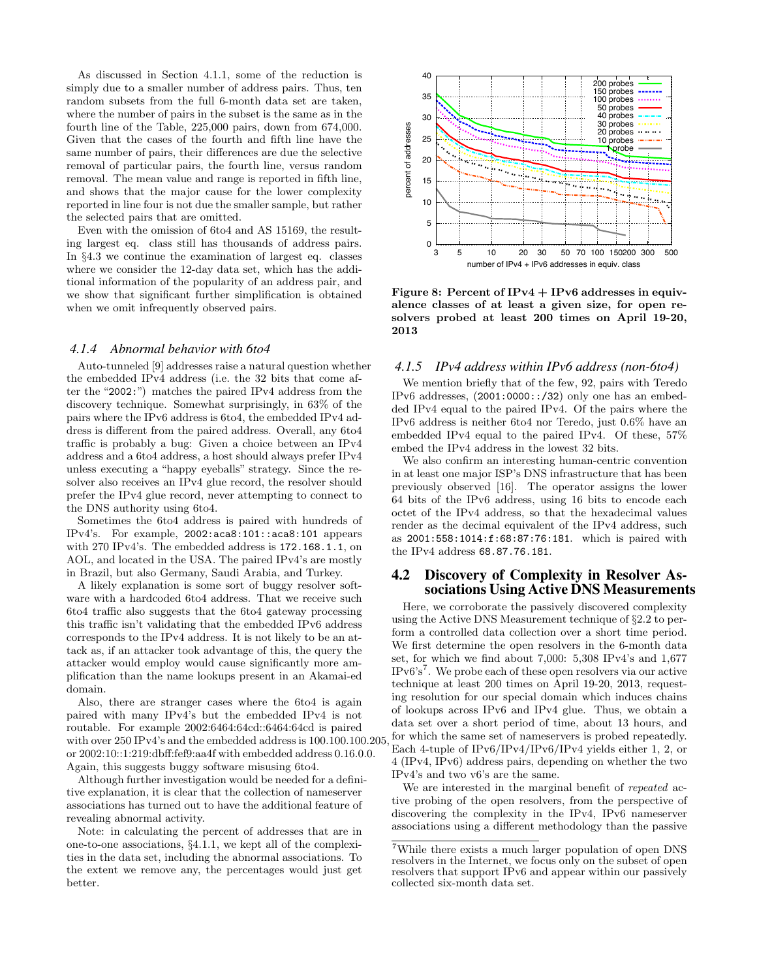As discussed in Section 4.1.1, some of the reduction is simply due to a smaller number of address pairs. Thus, ten random subsets from the full 6-month data set are taken, where the number of pairs in the subset is the same as in the fourth line of the Table, 225,000 pairs, down from 674,000. Given that the cases of the fourth and fifth line have the same number of pairs, their differences are due the selective removal of particular pairs, the fourth line, versus random removal. The mean value and range is reported in fifth line, and shows that the major cause for the lower complexity reported in line four is not due the smaller sample, but rather the selected pairs that are omitted.

Even with the omission of 6to4 and AS 15169, the resulting largest eq. class still has thousands of address pairs. In §4.3 we continue the examination of largest eq. classes where we consider the 12-day data set, which has the additional information of the popularity of an address pair, and we show that significant further simplification is obtained when we omit infrequently observed pairs.

#### *4.1.4 Abnormal behavior with 6to4*

Auto-tunneled [9] addresses raise a natural question whether the embedded IPv4 address (i.e. the 32 bits that come after the "2002:") matches the paired IPv4 address from the discovery technique. Somewhat surprisingly, in 63% of the pairs where the IPv6 address is 6to4, the embedded IPv4 address is different from the paired address. Overall, any 6to4 traffic is probably a bug: Given a choice between an IPv4 address and a 6to4 address, a host should always prefer IPv4 unless executing a "happy eyeballs" strategy. Since the resolver also receives an IPv4 glue record, the resolver should prefer the IPv4 glue record, never attempting to connect to the DNS authority using 6to4.

Sometimes the 6to4 address is paired with hundreds of IPv4's. For example, 2002:aca8:101::aca8:101 appears with 270 IPv4's. The embedded address is 172.168.1.1, on AOL, and located in the USA. The paired IPv4's are mostly in Brazil, but also Germany, Saudi Arabia, and Turkey.

A likely explanation is some sort of buggy resolver software with a hardcoded 6to4 address. That we receive such 6to4 traffic also suggests that the 6to4 gateway processing this traffic isn't validating that the embedded IPv6 address corresponds to the IPv4 address. It is not likely to be an attack as, if an attacker took advantage of this, the query the attacker would employ would cause significantly more amplification than the name lookups present in an Akamai-ed domain.

Also, there are stranger cases where the 6to4 is again paired with many IPv4's but the embedded IPv4 is not routable. For example 2002:6464:64cd::6464:64cd is paired with over 250 IPv4's and the embedded address is 100.100.100.205, or 2002:10::1:219:dbff:fef9:aa4f with embedded address 0.16.0.0. Again, this suggests buggy software misusing 6to4.

Although further investigation would be needed for a definitive explanation, it is clear that the collection of nameserver associations has turned out to have the additional feature of revealing abnormal activity.

Note: in calculating the percent of addresses that are in one-to-one associations, §4.1.1, we kept all of the complexities in the data set, including the abnormal associations. To the extent we remove any, the percentages would just get better.



Figure 8: Percent of IPv4 + IPv6 addresses in equivalence classes of at least a given size, for open resolvers probed at least 200 times on April 19-20, 2013

### *4.1.5 IPv4 address within IPv6 address (non-6to4)*

We mention briefly that of the few, 92, pairs with Teredo IPv6 addresses,  $(2001:0000::/32)$  only one has an embedded IPv4 equal to the paired IPv4. Of the pairs where the IPv6 address is neither 6to4 nor Teredo, just 0.6% have an embedded IPv4 equal to the paired IPv4. Of these, 57% embed the IPv4 address in the lowest 32 bits.

We also confirm an interesting human-centric convention in at least one major ISP's DNS infrastructure that has been previously observed [16]. The operator assigns the lower 64 bits of the IPv6 address, using 16 bits to encode each octet of the IPv4 address, so that the hexadecimal values render as the decimal equivalent of the IPv4 address, such as 2001:558:1014:f:68:87:76:181. which is paired with the IPv4 address 68.87.76.181.

## 4.2 Discovery of Complexity in Resolver Associations Using Active DNS Measurements

Here, we corroborate the passively discovered complexity using the Active DNS Measurement technique of §2.2 to perform a controlled data collection over a short time period. We first determine the open resolvers in the 6-month data set, for which we find about 7,000: 5,308 IPv4's and 1,677  $IPv6's<sup>7</sup>$ . We probe each of these open resolvers via our active technique at least 200 times on April 19-20, 2013, requesting resolution for our special domain which induces chains of lookups across IPv6 and IPv4 glue. Thus, we obtain a data set over a short period of time, about 13 hours, and for which the same set of nameservers is probed repeatedly. Each 4-tuple of IPv6/IPv4/IPv6/IPv4 yields either 1, 2, or 4 (IPv4, IPv6) address pairs, depending on whether the two IPv4's and two v6's are the same.

We are interested in the marginal benefit of repeated active probing of the open resolvers, from the perspective of discovering the complexity in the IPv4, IPv6 nameserver associations using a different methodology than the passive

<sup>7</sup>While there exists a much larger population of open DNS resolvers in the Internet, we focus only on the subset of open resolvers that support IPv6 and appear within our passively collected six-month data set.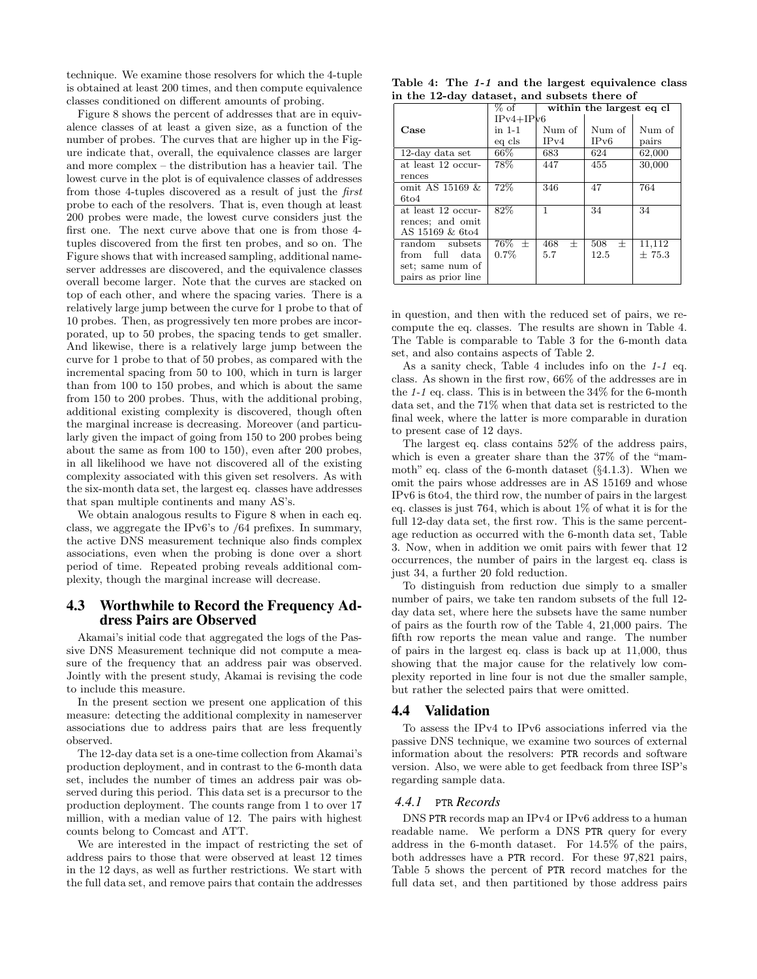technique. We examine those resolvers for which the 4-tuple is obtained at least 200 times, and then compute equivalence classes conditioned on different amounts of probing.

Figure 8 shows the percent of addresses that are in equivalence classes of at least a given size, as a function of the number of probes. The curves that are higher up in the Figure indicate that, overall, the equivalence classes are larger and more complex – the distribution has a heavier tail. The lowest curve in the plot is of equivalence classes of addresses from those 4-tuples discovered as a result of just the first probe to each of the resolvers. That is, even though at least 200 probes were made, the lowest curve considers just the first one. The next curve above that one is from those 4 tuples discovered from the first ten probes, and so on. The Figure shows that with increased sampling, additional nameserver addresses are discovered, and the equivalence classes overall become larger. Note that the curves are stacked on top of each other, and where the spacing varies. There is a relatively large jump between the curve for 1 probe to that of 10 probes. Then, as progressively ten more probes are incorporated, up to 50 probes, the spacing tends to get smaller. And likewise, there is a relatively large jump between the curve for 1 probe to that of 50 probes, as compared with the incremental spacing from 50 to 100, which in turn is larger than from 100 to 150 probes, and which is about the same from 150 to 200 probes. Thus, with the additional probing, additional existing complexity is discovered, though often the marginal increase is decreasing. Moreover (and particularly given the impact of going from 150 to 200 probes being about the same as from 100 to 150), even after 200 probes, in all likelihood we have not discovered all of the existing complexity associated with this given set resolvers. As with the six-month data set, the largest eq. classes have addresses that span multiple continents and many AS's.

We obtain analogous results to Figure 8 when in each eq. class, we aggregate the IPv6's to /64 prefixes. In summary, the active DNS measurement technique also finds complex associations, even when the probing is done over a short period of time. Repeated probing reveals additional complexity, though the marginal increase will decrease.

## 4.3 Worthwhile to Record the Frequency Address Pairs are Observed

Akamai's initial code that aggregated the logs of the Passive DNS Measurement technique did not compute a measure of the frequency that an address pair was observed. Jointly with the present study, Akamai is revising the code to include this measure.

In the present section we present one application of this measure: detecting the additional complexity in nameserver associations due to address pairs that are less frequently observed.

The 12-day data set is a one-time collection from Akamai's production deployment, and in contrast to the 6-month data set, includes the number of times an address pair was observed during this period. This data set is a precursor to the production deployment. The counts range from 1 to over 17 million, with a median value of 12. The pairs with highest counts belong to Comcast and ATT.

We are interested in the impact of restricting the set of address pairs to those that were observed at least 12 times in the 12 days, as well as further restrictions. We start with the full data set, and remove pairs that contain the addresses

|  |  | Table 4: The 1-1 and the largest equivalence class |  |
|--|--|----------------------------------------------------|--|
|  |  | in the 12-day dataset, and subsets there of        |  |

|                     | $%$ of                  | within the largest eq cl |               |        |
|---------------------|-------------------------|--------------------------|---------------|--------|
|                     | $IPv4+IPv6$             |                          |               |        |
| Case                | in 1-1                  | Num of                   | Num of        | Num of |
|                     | eg cls                  | IPv4                     | IPv6          | pairs  |
| 12-day data set     | $66\%$                  | 683                      | 624           | 62,000 |
| at least 12 occur-  | $78\%$                  | 447                      | 455           | 30,000 |
| rences              |                         |                          |               |        |
| omit AS 15169 &     | 72%                     | 346                      | 47            | 764    |
| 6t <sub>04</sub>    |                         |                          |               |        |
| at least 12 occur-  | 82%                     |                          | 34            | 34     |
| rences; and omit    |                         |                          |               |        |
| AS 15169 & 6to4     |                         |                          |               |        |
| random subsets      | $\overline{76}\%$ $\pm$ | 468<br>士                 | 508<br>$^{+}$ | 11,112 |
| from full data      | $0.7\%$                 | 5.7                      | 12.5          | ±75.3  |
| set; same num of    |                         |                          |               |        |
| pairs as prior line |                         |                          |               |        |

in question, and then with the reduced set of pairs, we recompute the eq. classes. The results are shown in Table 4. The Table is comparable to Table 3 for the 6-month data set, and also contains aspects of Table 2.

As a sanity check, Table 4 includes info on the 1-1 eq. class. As shown in the first row, 66% of the addresses are in the 1-1 eq. class. This is in between the 34% for the 6-month data set, and the 71% when that data set is restricted to the final week, where the latter is more comparable in duration to present case of 12 days.

The largest eq. class contains 52% of the address pairs, which is even a greater share than the 37% of the "mammoth" eq. class of the 6-month dataset  $(\S 4.1.3)$ . When we omit the pairs whose addresses are in AS 15169 and whose IPv6 is 6to4, the third row, the number of pairs in the largest eq. classes is just 764, which is about 1% of what it is for the full 12-day data set, the first row. This is the same percentage reduction as occurred with the 6-month data set, Table 3. Now, when in addition we omit pairs with fewer that 12 occurrences, the number of pairs in the largest eq. class is just 34, a further 20 fold reduction.

To distinguish from reduction due simply to a smaller number of pairs, we take ten random subsets of the full 12 day data set, where here the subsets have the same number of pairs as the fourth row of the Table 4, 21,000 pairs. The fifth row reports the mean value and range. The number of pairs in the largest eq. class is back up at 11,000, thus showing that the major cause for the relatively low complexity reported in line four is not due the smaller sample, but rather the selected pairs that were omitted.

## 4.4 Validation

To assess the IPv4 to IPv6 associations inferred via the passive DNS technique, we examine two sources of external information about the resolvers: PTR records and software version. Also, we were able to get feedback from three ISP's regarding sample data.

#### *4.4.1* PTR *Records*

DNS PTR records map an IPv4 or IPv6 address to a human readable name. We perform a DNS PTR query for every address in the 6-month dataset. For 14.5% of the pairs, both addresses have a PTR record. For these 97,821 pairs, Table 5 shows the percent of PTR record matches for the full data set, and then partitioned by those address pairs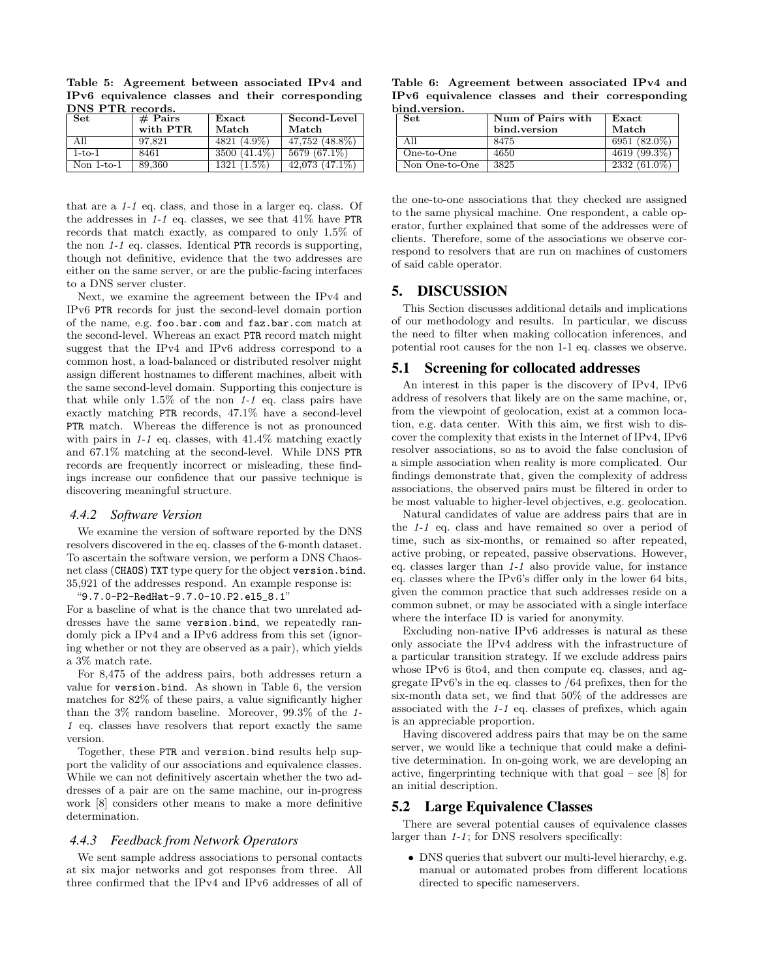Table 5: Agreement between associated IPv4 and IPv6 equivalence classes and their corresponding DNS PTR records.

| <b>Set</b>   | $#$ Pairs | $\rm Exact$   | Second-Level     |
|--------------|-----------|---------------|------------------|
|              | with PTR  | Match         | Match            |
| All          | 97.821    | 4821 (4.9%)   | 47,752 (48.8%)   |
| $1-to-1$     | 8461      | 3500 (41.4%)  | 5679 (67.1%)     |
| Non $1-to-1$ | 89,360    | $1321(1.5\%)$ | $42.073(47.1\%)$ |

that are a 1-1 eq. class, and those in a larger eq. class. Of the addresses in  $1-1$  eq. classes, we see that  $41\%$  have PTR records that match exactly, as compared to only 1.5% of the non 1-1 eq. classes. Identical PTR records is supporting, though not definitive, evidence that the two addresses are either on the same server, or are the public-facing interfaces to a DNS server cluster.

Next, we examine the agreement between the IPv4 and IPv6 PTR records for just the second-level domain portion of the name, e.g. foo.bar.com and faz.bar.com match at the second-level. Whereas an exact PTR record match might suggest that the IPv4 and IPv6 address correspond to a common host, a load-balanced or distributed resolver might assign different hostnames to different machines, albeit with the same second-level domain. Supporting this conjecture is that while only  $1.5\%$  of the non 1-1 eq. class pairs have exactly matching PTR records, 47.1% have a second-level PTR match. Whereas the difference is not as pronounced with pairs in  $1-1$  eq. classes, with  $41.4\%$  matching exactly and 67.1% matching at the second-level. While DNS PTR records are frequently incorrect or misleading, these findings increase our confidence that our passive technique is discovering meaningful structure.

#### *4.4.2 Software Version*

We examine the version of software reported by the DNS resolvers discovered in the eq. classes of the 6-month dataset. To ascertain the software version, we perform a DNS Chaosnet class (CHAOS) TXT type query for the object version.bind. 35,921 of the addresses respond. An example response is:

"9.7.0-P2-RedHat-9.7.0-10.P2.el5\_8.1"

For a baseline of what is the chance that two unrelated addresses have the same version.bind, we repeatedly randomly pick a IPv4 and a IPv6 address from this set (ignoring whether or not they are observed as a pair), which yields a 3% match rate.

For 8,475 of the address pairs, both addresses return a value for version.bind. As shown in Table 6, the version matches for 82% of these pairs, a value significantly higher than the 3% random baseline. Moreover, 99.3% of the 1- 1 eq. classes have resolvers that report exactly the same version.

Together, these PTR and version.bind results help support the validity of our associations and equivalence classes. While we can not definitively ascertain whether the two addresses of a pair are on the same machine, our in-progress work [8] considers other means to make a more definitive determination.

#### *4.4.3 Feedback from Network Operators*

We sent sample address associations to personal contacts at six major networks and got responses from three. All three confirmed that the IPv4 and IPv6 addresses of all of

Table 6: Agreement between associated IPv4 and IPv6 equivalence classes and their corresponding bind.version.

| l Set          | Num of Pairs with | $\rm Exact$    |
|----------------|-------------------|----------------|
|                | bind.version      | Match          |
| ' All          | 8475              | $6951(82.0\%)$ |
| One-to-One     | 4650              | 4619 (99.3%)   |
| Non One-to-One | 3825              | $2332(61.0\%)$ |

the one-to-one associations that they checked are assigned to the same physical machine. One respondent, a cable operator, further explained that some of the addresses were of clients. Therefore, some of the associations we observe correspond to resolvers that are run on machines of customers of said cable operator.

## 5. DISCUSSION

This Section discusses additional details and implications of our methodology and results. In particular, we discuss the need to filter when making collocation inferences, and potential root causes for the non 1-1 eq. classes we observe.

#### 5.1 Screening for collocated addresses

An interest in this paper is the discovery of IPv4, IPv6 address of resolvers that likely are on the same machine, or, from the viewpoint of geolocation, exist at a common location, e.g. data center. With this aim, we first wish to discover the complexity that exists in the Internet of IPv4, IPv6 resolver associations, so as to avoid the false conclusion of a simple association when reality is more complicated. Our findings demonstrate that, given the complexity of address associations, the observed pairs must be filtered in order to be most valuable to higher-level objectives, e.g. geolocation.

Natural candidates of value are address pairs that are in the 1-1 eq. class and have remained so over a period of time, such as six-months, or remained so after repeated, active probing, or repeated, passive observations. However, eq. classes larger than 1-1 also provide value, for instance eq. classes where the IPv6's differ only in the lower 64 bits, given the common practice that such addresses reside on a common subnet, or may be associated with a single interface where the interface ID is varied for anonymity.

Excluding non-native IPv6 addresses is natural as these only associate the IPv4 address with the infrastructure of a particular transition strategy. If we exclude address pairs whose IPv6 is 6to4, and then compute eq. classes, and aggregate IPv6's in the eq. classes to /64 prefixes, then for the six-month data set, we find that 50% of the addresses are associated with the 1-1 eq. classes of prefixes, which again is an appreciable proportion.

Having discovered address pairs that may be on the same server, we would like a technique that could make a definitive determination. In on-going work, we are developing an active, fingerprinting technique with that goal – see [8] for an initial description.

### 5.2 Large Equivalence Classes

There are several potential causes of equivalence classes larger than  $1-1$ ; for DNS resolvers specifically:

• DNS queries that subvert our multi-level hierarchy, e.g. manual or automated probes from different locations directed to specific nameservers.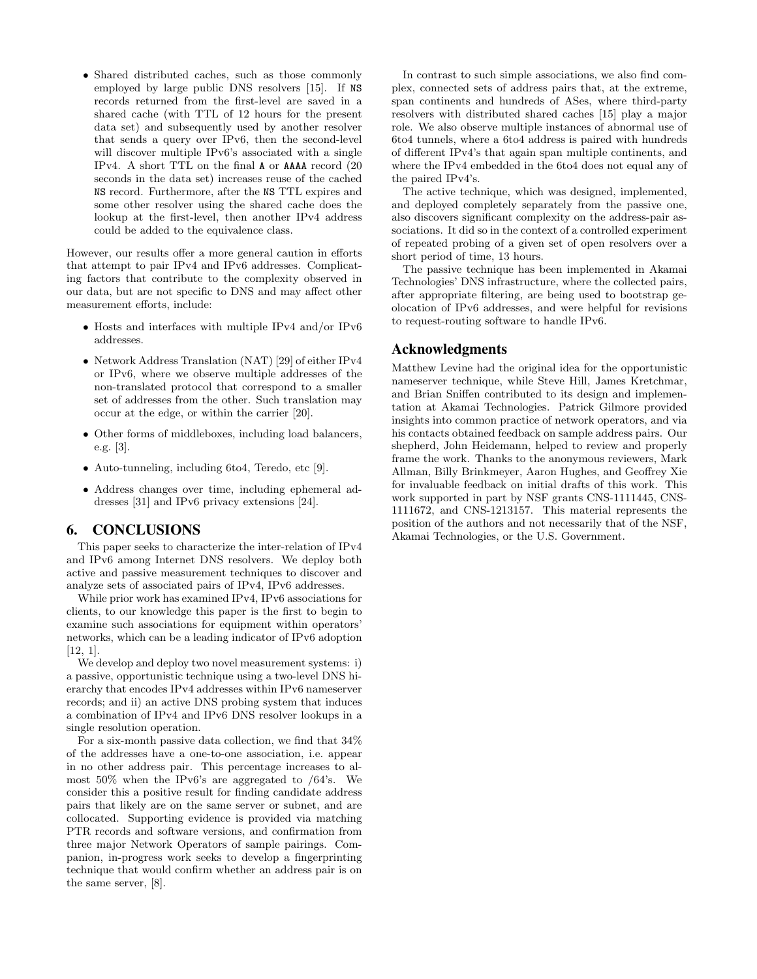• Shared distributed caches, such as those commonly employed by large public DNS resolvers [15]. If NS records returned from the first-level are saved in a shared cache (with TTL of 12 hours for the present data set) and subsequently used by another resolver that sends a query over IPv6, then the second-level will discover multiple IPv6's associated with a single IPv4. A short TTL on the final A or AAAA record (20 seconds in the data set) increases reuse of the cached NS record. Furthermore, after the NS TTL expires and some other resolver using the shared cache does the lookup at the first-level, then another IPv4 address could be added to the equivalence class.

However, our results offer a more general caution in efforts that attempt to pair IPv4 and IPv6 addresses. Complicating factors that contribute to the complexity observed in our data, but are not specific to DNS and may affect other measurement efforts, include:

- Hosts and interfaces with multiple IPv4 and/or IPv6 addresses.
- Network Address Translation (NAT) [29] of either IPv4 or IPv6, where we observe multiple addresses of the non-translated protocol that correspond to a smaller set of addresses from the other. Such translation may occur at the edge, or within the carrier [20].
- Other forms of middleboxes, including load balancers, e.g. [3].
- Auto-tunneling, including 6to4, Teredo, etc [9].
- Address changes over time, including ephemeral addresses [31] and IPv6 privacy extensions [24].

# 6. CONCLUSIONS

This paper seeks to characterize the inter-relation of IPv4 and IPv6 among Internet DNS resolvers. We deploy both active and passive measurement techniques to discover and analyze sets of associated pairs of IPv4, IPv6 addresses.

While prior work has examined IPv4, IPv6 associations for clients, to our knowledge this paper is the first to begin to examine such associations for equipment within operators' networks, which can be a leading indicator of IPv6 adoption [12, 1].

We develop and deploy two novel measurement systems: i) a passive, opportunistic technique using a two-level DNS hierarchy that encodes IPv4 addresses within IPv6 nameserver records; and ii) an active DNS probing system that induces a combination of IPv4 and IPv6 DNS resolver lookups in a single resolution operation.

For a six-month passive data collection, we find that 34% of the addresses have a one-to-one association, i.e. appear in no other address pair. This percentage increases to almost 50% when the IPv6's are aggregated to /64's. We consider this a positive result for finding candidate address pairs that likely are on the same server or subnet, and are collocated. Supporting evidence is provided via matching PTR records and software versions, and confirmation from three major Network Operators of sample pairings. Companion, in-progress work seeks to develop a fingerprinting technique that would confirm whether an address pair is on the same server, [8].

In contrast to such simple associations, we also find complex, connected sets of address pairs that, at the extreme, span continents and hundreds of ASes, where third-party resolvers with distributed shared caches [15] play a major role. We also observe multiple instances of abnormal use of 6to4 tunnels, where a 6to4 address is paired with hundreds of different IPv4's that again span multiple continents, and where the IPv4 embedded in the 6to4 does not equal any of the paired IPv4's.

The active technique, which was designed, implemented, and deployed completely separately from the passive one, also discovers significant complexity on the address-pair associations. It did so in the context of a controlled experiment of repeated probing of a given set of open resolvers over a short period of time, 13 hours.

The passive technique has been implemented in Akamai Technologies' DNS infrastructure, where the collected pairs, after appropriate filtering, are being used to bootstrap geolocation of IPv6 addresses, and were helpful for revisions to request-routing software to handle IPv6.

# Acknowledgments

Matthew Levine had the original idea for the opportunistic nameserver technique, while Steve Hill, James Kretchmar, and Brian Sniffen contributed to its design and implementation at Akamai Technologies. Patrick Gilmore provided insights into common practice of network operators, and via his contacts obtained feedback on sample address pairs. Our shepherd, John Heidemann, helped to review and properly frame the work. Thanks to the anonymous reviewers, Mark Allman, Billy Brinkmeyer, Aaron Hughes, and Geoffrey Xie for invaluable feedback on initial drafts of this work. This work supported in part by NSF grants CNS-1111445, CNS-1111672, and CNS-1213157. This material represents the position of the authors and not necessarily that of the NSF, Akamai Technologies, or the U.S. Government.